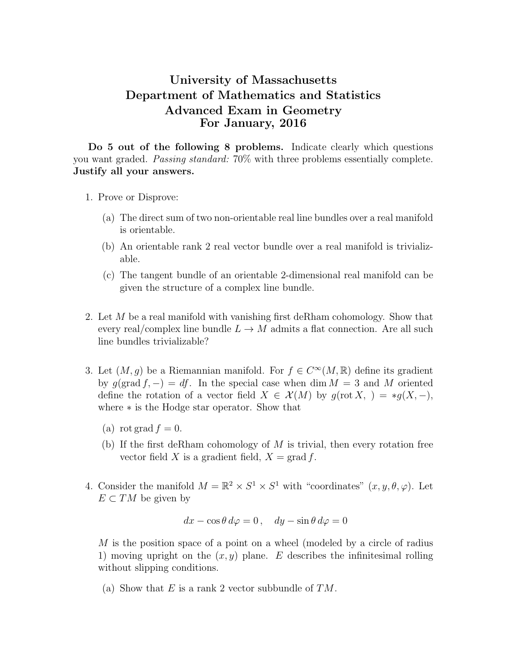## University of Massachusetts Department of Mathematics and Statistics Advanced Exam in Geometry For January, 2016

Do 5 out of the following 8 problems. Indicate clearly which questions you want graded. Passing standard: 70% with three problems essentially complete. Justify all your answers.

- 1. Prove or Disprove:
	- (a) The direct sum of two non-orientable real line bundles over a real manifold is orientable.
	- (b) An orientable rank 2 real vector bundle over a real manifold is trivializable.
	- (c) The tangent bundle of an orientable 2-dimensional real manifold can be given the structure of a complex line bundle.
- 2. Let M be a real manifold with vanishing first deRham cohomology. Show that every real/complex line bundle  $L \to M$  admits a flat connection. Are all such line bundles trivializable?
- 3. Let  $(M, g)$  be a Riemannian manifold. For  $f \in C^{\infty}(M, \mathbb{R})$  define its gradient by  $g(\text{grad } f, -) = df$ . In the special case when dim  $M = 3$  and M oriented define the rotation of a vector field  $X \in \mathcal{X}(M)$  by  $g(\text{rot } X, ) = *g(X, -),$ where ∗ is the Hodge star operator. Show that
	- (a) rot grad  $f = 0$ .
	- (b) If the first deRham cohomology of  $M$  is trivial, then every rotation free vector field X is a gradient field,  $X = \text{grad } f$ .
- 4. Consider the manifold  $M = \mathbb{R}^2 \times S^1 \times S^1$  with "coordinates"  $(x, y, \theta, \varphi)$ . Let  $E \subset TM$  be given by

$$
dx - \cos\theta \, d\varphi = 0 \,, \quad dy - \sin\theta \, d\varphi = 0
$$

M is the position space of a point on a wheel (modeled by a circle of radius 1) moving upright on the  $(x, y)$  plane. E describes the infinitesimal rolling without slipping conditions.

(a) Show that E is a rank 2 vector subbundle of  $TM$ .